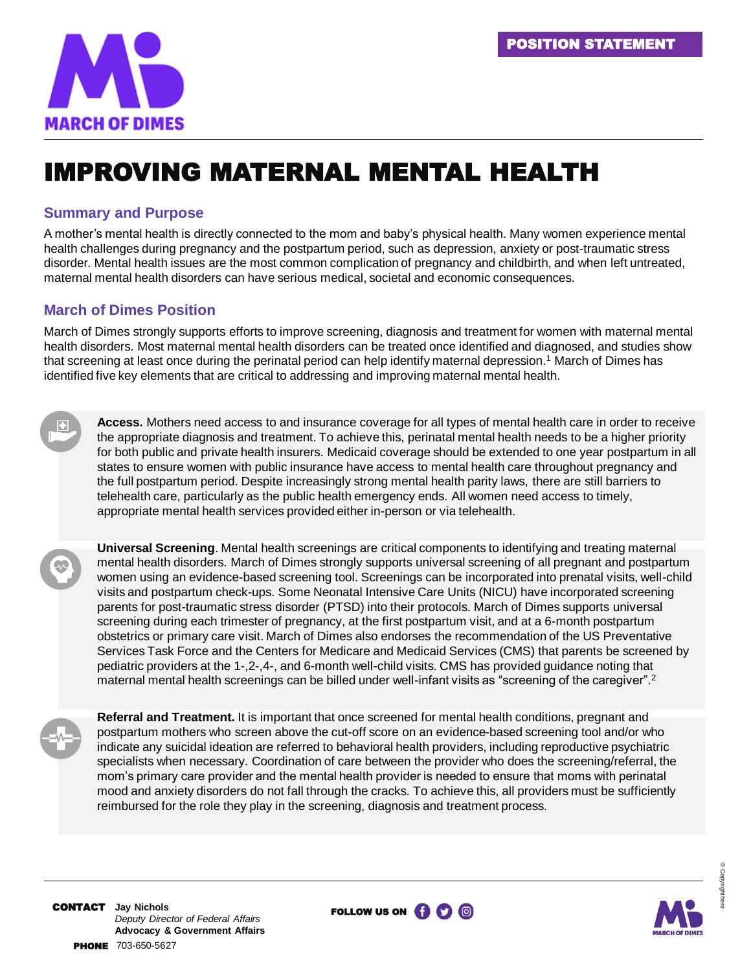

# IMPROVING MATERNAL MENTAL HEALTH

#### **Summary and Purpose**

A mother's mental health is directly connected to the mom and baby's physical health. Many women experience mental health challenges during pregnancy and the postpartum period, such as depression, anxiety or post-traumatic stress disorder. Mental health issues are the most common complication of pregnancy and childbirth, and when left untreated, maternal mental health disorders can have serious medical, societal and economic consequences.

### **March of Dimes Position**

March of Dimes strongly supports efforts to improve screening, diagnosis and treatment for women with maternal mental health disorders. Most maternal mental health disorders can be treated once identified and diagnosed, and studies show that screening at least once during the perinatal period can help identify maternal depression.<sup>1</sup> March of Dimes has identified five key elements that are critical to addressing and improving maternal mental health.

**Access.** Mothers need access to and insurance coverage for all types of mental health care in order to receive the appropriate diagnosis and treatment. To achieve this, perinatal mental health needs to be a higher priority for both public and private health insurers. Medicaid coverage should be extended to one year postpartum in all states to ensure women with public insurance have access to mental health care throughout pregnancy and the full postpartum period. Despite increasingly strong mental health parity laws, there are still barriers to telehealth care, particularly as the public health emergency ends. All women need access to timely, appropriate mental health services provided either in-person or via telehealth.

**Universal Screening**. Mental health screenings are critical components to identifying and treating maternal mental health disorders. March of Dimes strongly supports universal screening of all pregnant and postpartum women using an evidence-based screening tool. Screenings can be incorporated into prenatal visits, well-child visits and postpartum check-ups. Some Neonatal Intensive Care Units (NICU) have incorporated screening parents for post-traumatic stress disorder (PTSD) into their protocols. March of Dimes supports universal screening during each trimester of pregnancy, at the first postpartum visit, and at a 6-month postpartum obstetrics or primary care visit. March of Dimes also endorses the recommendation of the US Preventative Services Task Force and the Centers for Medicare and Medicaid Services (CMS) that parents be screened by pediatric providers at the 1-,2-,4-, and 6-month well-child visits. CMS has provided guidance noting that maternal mental health screenings can be billed under well-infant visits as "screening of the caregiver".<sup>2</sup>

**Referral and Treatment.** It is important that once screened for mental health conditions, pregnant and postpartum mothers who screen above the cut-off score on an evidence-based screening tool and/or who indicate any suicidal ideation are referred to behavioral health providers, including reproductive psychiatric specialists when necessary. Coordination of care between the provider who does the screening/referral, the mom's primary care provider and the mental health provider is needed to ensure that moms with perinatal mood and anxiety disorders do not fall through the cracks. To achieve this, all providers must be sufficiently reimbursed for the role they play in the screening, diagnosis and treatment process.



© Copyright here

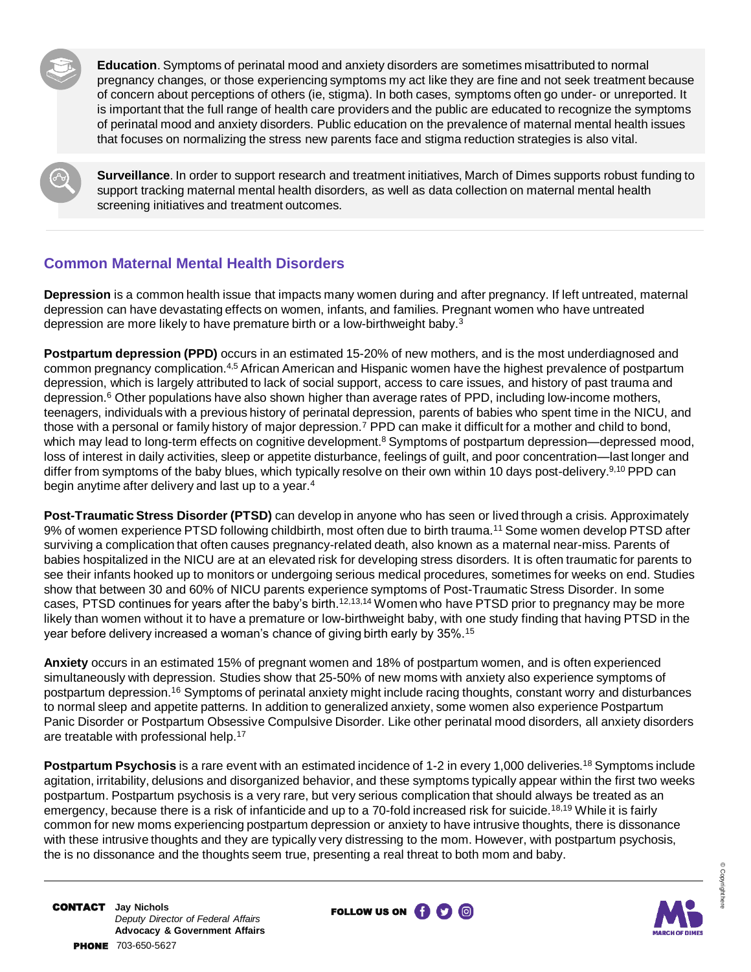**Education**. Symptoms of perinatal mood and anxiety disorders are sometimes misattributed to normal pregnancy changes, or those experiencing symptoms my act like they are fine and not seek treatment because of concern about perceptions of others (ie, stigma). In both cases, symptoms often go under- or unreported. It is important that the full range of health care providers and the public are educated to recognize the symptoms of perinatal mood and anxiety disorders. Public education on the prevalence of maternal mental health issues that focuses on normalizing the stress new parents face and stigma reduction strategies is also vital.

**Surveillance**. In order to support research and treatment initiatives, March of Dimes supports robust funding to support tracking maternal mental health disorders, as well as data collection on maternal mental health screening initiatives and treatment outcomes.

## **Common Maternal Mental Health Disorders**

**Depression** is a common health issue that impacts many women during and after pregnancy. If left untreated, maternal depression can have devastating effects on women, infants, and families. Pregnant women who have untreated depression are more likely to have premature birth or a low-birthweight baby.<sup>3</sup>

**Postpartum depression (PPD)** occurs in an estimated 15-20% of new mothers, and is the most underdiagnosed and common pregnancy complication.4,5 African American and Hispanic women have the highest prevalence of postpartum depression, which is largely attributed to lack of social support, access to care issues, and history of past trauma and depression.<sup>6</sup> Other populations have also shown higher than average rates of PPD, including low-income mothers, teenagers, individuals with a previous history of perinatal depression, parents of babies who spent time in the NICU, and those with a personal or family history of major depression.<sup>7</sup> PPD can make it difficult for a mother and child to bond, which may lead to long-term effects on cognitive development.<sup>8</sup> Symptoms of postpartum depression—depressed mood, loss of interest in daily activities, sleep or appetite disturbance, feelings of guilt, and poor concentration—last longer and differ from symptoms of the baby blues, which typically resolve on their own within 10 days post-delivery.<sup>9,10</sup> PPD can begin anytime after delivery and last up to a year.<sup>4</sup>

**Post-Traumatic Stress Disorder (PTSD)** can develop in anyone who has seen or lived through a crisis. Approximately 9% of women experience PTSD following childbirth, most often due to birth trauma.<sup>11</sup> Some women develop PTSD after surviving a complication that often causes pregnancy-related death, also known as a maternal near-miss. Parents of babies hospitalized in the NICU are at an elevated risk for developing stress disorders. It is often traumatic for parents to see their infants hooked up to monitors or undergoing serious medical procedures, sometimes for weeks on end. Studies show that between 30 and 60% of NICU parents experience symptoms of Post-Traumatic Stress Disorder. In some cases, PTSD continues for years after the baby's birth.<sup>12,13,14</sup> Women who have PTSD prior to pregnancy may be more likely than women without it to have a premature or low-birthweight baby, with one study finding that having PTSD in the year before delivery increased a woman's chance of giving birth early by 35%.<sup>15</sup>

**Anxiety** occurs in an estimated 15% of pregnant women and 18% of postpartum women, and is often experienced simultaneously with depression. Studies show that 25-50% of new moms with anxiety also experience symptoms of postpartum depression.<sup>16</sup> Symptoms of perinatal anxiety might include racing thoughts, constant worry and disturbances to normal sleep and appetite patterns. In addition to generalized anxiety, some women also experience Postpartum Panic Disorder or Postpartum Obsessive Compulsive Disorder. Like other perinatal mood disorders, all anxiety disorders are treatable with professional help.<sup>17</sup>

**Postpartum Psychosis** is a rare event with an estimated incidence of 1-2 in every 1,000 deliveries.<sup>18</sup> Symptoms include agitation, irritability, delusions and disorganized behavior, and these symptoms typically appear within the first two weeks postpartum. Postpartum psychosis is a very rare, but very serious complication that should always be treated as an emergency, because there is a risk of infanticide and up to a 70-fold increased risk for suicide.<sup>18,19</sup> While it is fairly common for new moms experiencing postpartum depression or anxiety to have intrusive thoughts, there is dissonance with these intrusive thoughts and they are typically very distressing to the mom. However, with postpartum psychosis, the is no dissonance and the thoughts seem true, presenting a real threat to both mom and baby.



© Copyright here

CONTACT **Jay Nichols** *Deputy Director of Federal Affairs* **Advocacy & Government Affairs** PHONE 703-650-5627

FOLLOW US ON **(i)** (D) **(B)**